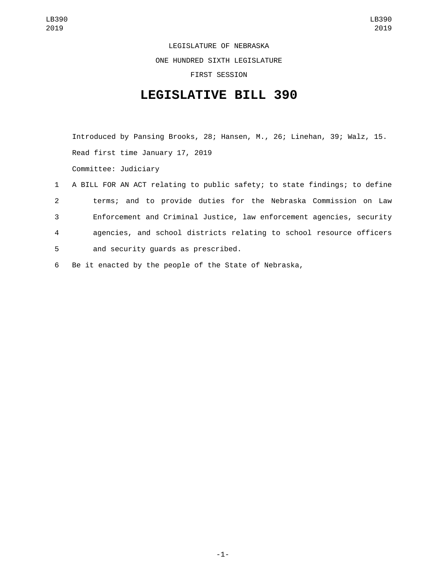LEGISLATURE OF NEBRASKA ONE HUNDRED SIXTH LEGISLATURE FIRST SESSION

## **LEGISLATIVE BILL 390**

Introduced by Pansing Brooks, 28; Hansen, M., 26; Linehan, 39; Walz, 15. Read first time January 17, 2019 Committee: Judiciary

 A BILL FOR AN ACT relating to public safety; to state findings; to define terms; and to provide duties for the Nebraska Commission on Law Enforcement and Criminal Justice, law enforcement agencies, security agencies, and school districts relating to school resource officers 5 and security guards as prescribed.

6 Be it enacted by the people of the State of Nebraska,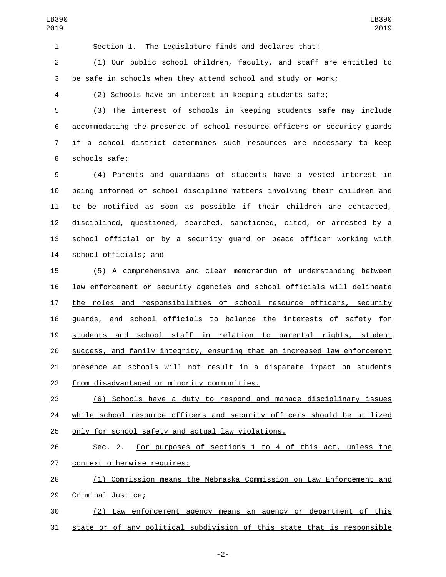| $\mathbf{1}$   | Section 1. The Legislature finds and declares that:                       |
|----------------|---------------------------------------------------------------------------|
| $\overline{2}$ | (1) Our public school children, faculty, and staff are entitled to        |
| 3              | be safe in schools when they attend school and study or work;             |
| 4              | (2) Schools have an interest in keeping students safe;                    |
| 5              | (3) The interest of schools in keeping students safe may include          |
| 6              | accommodating the presence of school resource officers or security guards |
| 7              | if a school district determines such resources are necessary to keep      |
| 8              | schools safe;                                                             |
| 9              | (4) Parents and guardians of students have a vested interest in           |
| 10             | being informed of school discipline matters involving their children and  |
| 11             | to be notified as soon as possible if their children are contacted,       |
| 12             | disciplined, questioned, searched, sanctioned, cited, or arrested by a    |
| 13             | school official or by a security guard or peace officer working with      |
| 14             | school officials; and                                                     |
| 15             | (5) A comprehensive and clear memorandum of understanding between         |
| 16             | law enforcement or security agencies and school officials will delineate  |
| 17             | the roles and responsibilities of school resource officers, security      |
| 18             | guards, and school officials to balance the interests of safety for       |
| 19             | students and school staff in relation to parental rights, student         |
| 20             | success, and family integrity, ensuring that an increased law enforcement |
| 21             | presence at schools will not result in a disparate impact on students     |
| 22             | from disadvantaged or minority communities.                               |
| 23             | (6) Schools have a duty to respond and manage disciplinary issues         |
| 24             | while school resource officers and security officers should be utilized   |
| 25             | only for school safety and actual law violations.                         |
| 26             | Sec. 2. For purposes of sections 1 to 4 of this act, unless the           |
| 27             | context otherwise requires:                                               |
| 28             | (1) Commission means the Nebraska Commission on Law Enforcement and       |
| 29             | Criminal Justice;                                                         |
| 30             | (2) Law enforcement agency means an agency or department of this          |
| 31             | state or of any political subdivision of this state that is responsible   |

-2-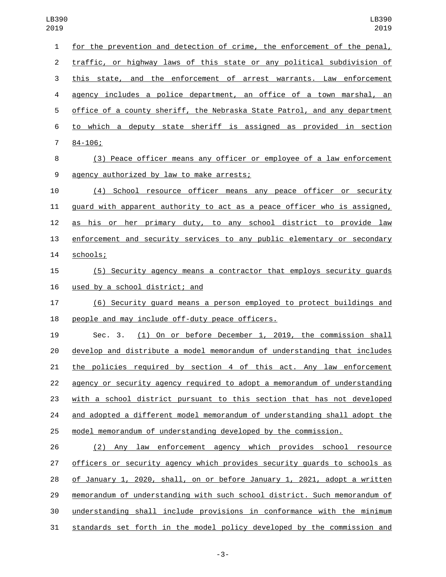| צ⊥ש:           | ∠⊍⊥ษ                                                                      |
|----------------|---------------------------------------------------------------------------|
| $\mathbf{1}$   | for the prevention and detection of crime, the enforcement of the penal,  |
| $\overline{2}$ | traffic, or highway laws of this state or any political subdivision of    |
| 3              | this state, and the enforcement of arrest warrants. Law enforcement       |
| 4              | agency includes a police department, an office of a town marshal, an      |
| 5              | office of a county sheriff, the Nebraska State Patrol, and any department |
| 6              | to which a deputy state sheriff is assigned as provided in section        |
| $\overline{7}$ | $84 - 106$ ;                                                              |
| 8              | (3) Peace officer means any officer or employee of a law enforcement      |
| 9              | agency authorized by law to make arrests;                                 |
| 10             | (4) School resource officer means any peace officer or security           |
| 11             | guard with apparent authority to act as a peace officer who is assigned,  |
| 12             | as his or her primary duty, to any school district to provide law         |
| 13             | enforcement and security services to any public elementary or secondary   |
| 14             | schools;                                                                  |
| 15             | (5) Security agency means a contractor that employs security guards       |
| 16             | used by a school district; and                                            |
| 17             | (6) Security guard means a person employed to protect buildings and       |
| 18             | people and may include off-duty peace officers.                           |
| 19             | (1) On or before December 1, 2019, the commission shall<br>Sec. 3.        |
| 20             | develop and distribute a model memorandum of understanding that includes  |
| 21             | the policies required by section 4 of this act. Any law enforcement       |
| 22             | agency or security agency required to adopt a memorandum of understanding |
| 23             | with a school district pursuant to this section that has not developed    |
| 24             | and adopted a different model memorandum of understanding shall adopt the |
| 25             | model memorandum of understanding developed by the commission.            |
| 26             | (2) Any law enforcement agency which provides school resource             |
| 27             | officers or security agency which provides security guards to schools as  |
| 28             | of January 1, 2020, shall, on or before January 1, 2021, adopt a written  |
| 29             | memorandum of understanding with such school district. Such memorandum of |
| 30             | understanding shall include provisions in conformance with the minimum    |

standards set forth in the model policy developed by the commission and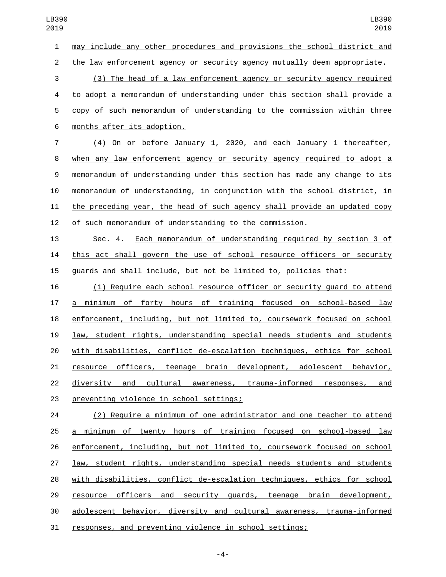may include any other procedures and provisions the school district and

the law enforcement agency or security agency mutually deem appropriate.

 (3) The head of a law enforcement agency or security agency required to adopt a memorandum of understanding under this section shall provide a copy of such memorandum of understanding to the commission within three months after its adoption.6

 (4) On or before January 1, 2020, and each January 1 thereafter, when any law enforcement agency or security agency required to adopt a memorandum of understanding under this section has made any change to its memorandum of understanding, in conjunction with the school district, in the preceding year, the head of such agency shall provide an updated copy of such memorandum of understanding to the commission.

 Sec. 4. Each memorandum of understanding required by section 3 of this act shall govern the use of school resource officers or security guards and shall include, but not be limited to, policies that:

 (1) Require each school resource officer or security guard to attend a minimum of forty hours of training focused on school-based law enforcement, including, but not limited to, coursework focused on school law, student rights, understanding special needs students and students with disabilities, conflict de-escalation techniques, ethics for school resource officers, teenage brain development, adolescent behavior, diversity and cultural awareness, trauma-informed responses, and 23 preventing violence in school settings;

 (2) Require a minimum of one administrator and one teacher to attend a minimum of twenty hours of training focused on school-based law enforcement, including, but not limited to, coursework focused on school law, student rights, understanding special needs students and students with disabilities, conflict de-escalation techniques, ethics for school 29 resource officers and security guards, teenage brain development, adolescent behavior, diversity and cultural awareness, trauma-informed responses, and preventing violence in school settings;